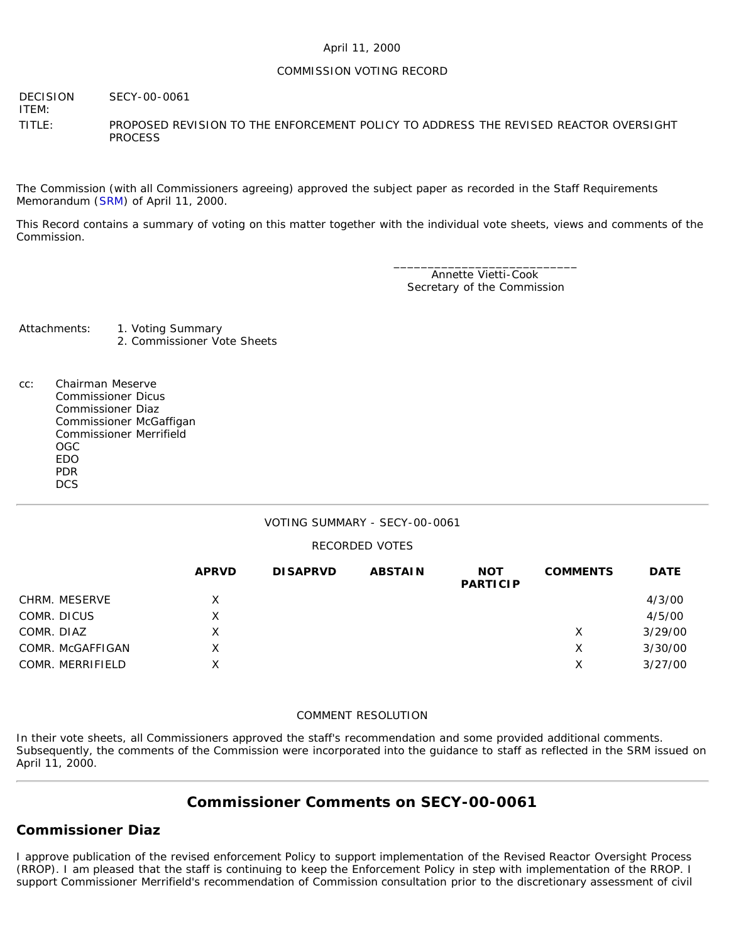#### April 11, 2000

#### COMMISSION VOTING RECORD

DECISION SECY-00-0061

ITEM:

TITLE: PROPOSED REVISION TO THE ENFORCEMENT POLICY TO ADDRESS THE REVISED REACTOR OVERSIGHT PROCESS

The Commission (with all Commissioners agreeing) approved the subject paper as recorded in the Staff Requirements Memorandum ([SRM\)](http://www.nrc.gov/reading-rm/doc-collections/commission/srm/2000/2000-0061srm.html) of April 11, 2000.

This Record contains a summary of voting on this matter together with the individual vote sheets, views and comments of the Commission.

> \_\_\_\_\_\_\_\_\_\_\_\_\_\_\_\_\_\_\_\_\_\_\_\_\_\_\_ Annette Vietti-Cook Secretary of the Commission

Attachments: 1. Voting Summary 2. Commissioner Vote Sheets

cc: Chairman Meserve Commissioner Dicus Commissioner Diaz Commissioner McGaffigan Commissioner Merrifield OGC EDO PDR **DCS** 

#### VOTING SUMMARY - SECY-00-0061

#### RECORDED VOTES

|                  | <b>APRVD</b> | <b>DISAPRVD</b> | <b>ABSTAIN</b> | <b>NOT</b><br><b>PARTICIP</b> | <b>COMMENTS</b> | <b>DATE</b> |
|------------------|--------------|-----------------|----------------|-------------------------------|-----------------|-------------|
| CHRM. MESERVE    | Χ            |                 |                |                               |                 | 4/3/00      |
| COMR. DICUS      | Χ            |                 |                |                               |                 | 4/5/00      |
| COMR. DIAZ       | X            |                 |                |                               | X               | 3/29/00     |
| COMR. McGAFFIGAN | Χ            |                 |                |                               | Х               | 3/30/00     |
| COMR. MERRIFIELD | X            |                 |                |                               | Χ               | 3/27/00     |

#### COMMENT RESOLUTION

In their vote sheets, all Commissioners approved the staff's recommendation and some provided additional comments. Subsequently, the comments of the Commission were incorporated into the guidance to staff as reflected in the SRM issued on April 11, 2000.

# **Commissioner Comments on [SECY-00-0061](http://www.nrc.gov/reading-rm/doc-collections/commission/secys/2000/secy2000-0061/2000-0061scy.html)**

### **Commissioner Diaz**

I approve publication of the revised enforcement Policy to support implementation of the Revised Reactor Oversight Process (RROP). I am pleased that the staff is continuing to keep the Enforcement Policy in step with implementation of the RROP. I support Commissioner Merrifield's recommendation of Commission consultation prior to the discretionary assessment of civil